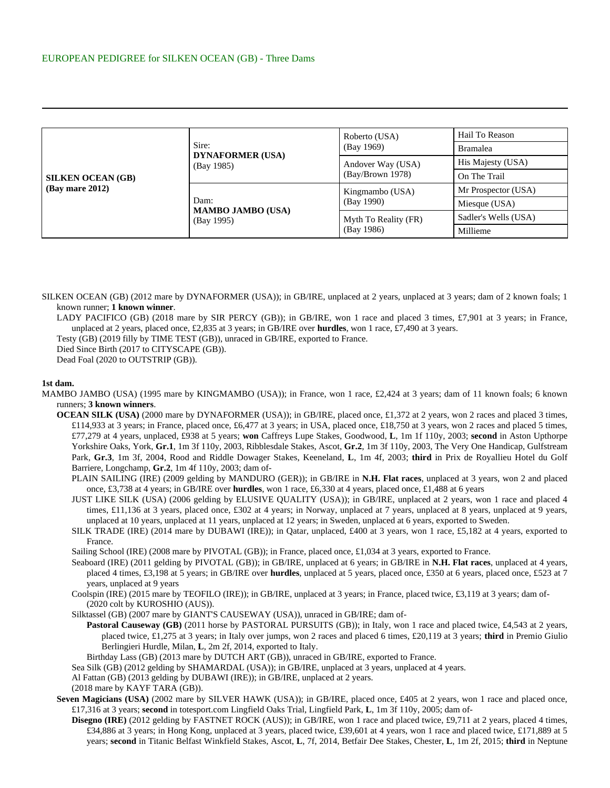| <b>SILKEN OCEAN (GB)</b><br>$(Bay \text{ mare } 2012)$ | Sire:<br><b>DYNAFORMER (USA)</b><br>(Bay 1985) | Roberto (USA)<br>(Bay 1969)           | Hail To Reason       |
|--------------------------------------------------------|------------------------------------------------|---------------------------------------|----------------------|
|                                                        |                                                |                                       | <b>Bramalea</b>      |
|                                                        |                                                | Andover Way (USA)<br>(Bay/Brown 1978) | His Majesty (USA)    |
|                                                        |                                                |                                       | On The Trail         |
|                                                        | Dam:<br><b>MAMBO JAMBO (USA)</b><br>(Bay 1995) | Kingmambo (USA)<br>(Bay 1990)         | Mr Prospector (USA)  |
|                                                        |                                                |                                       | Miesque (USA)        |
|                                                        |                                                | Myth To Reality (FR)<br>(Bay 1986)    | Sadler's Wells (USA) |
|                                                        |                                                |                                       | Millieme             |

SILKEN OCEAN (GB) (2012 mare by DYNAFORMER (USA)); in GB/IRE, unplaced at 2 years, unplaced at 3 years; dam of 2 known foals; 1 known runner; **1 known winner**.

LADY PACIFICO (GB) (2018 mare by SIR PERCY (GB)); in GB/IRE, won 1 race and placed 3 times, £7,901 at 3 years; in France, unplaced at 2 years, placed once, £2,835 at 3 years; in GB/IRE over **hurdles**, won 1 race, £7,490 at 3 years.

Testy (GB) (2019 filly by TIME TEST (GB)), unraced in GB/IRE, exported to France.

Died Since Birth (2017 to CITYSCAPE (GB)).

Dead Foal (2020 to OUTSTRIP (GB)).

## **1st dam.**

- MAMBO JAMBO (USA) (1995 mare by KINGMAMBO (USA)); in France, won 1 race, £2,424 at 3 years; dam of 11 known foals; 6 known runners; **3 known winners**.
	- **OCEAN SILK (USA)** (2000 mare by DYNAFORMER (USA)); in GB/IRE, placed once, £1,372 at 2 years, won 2 races and placed 3 times, £114,933 at 3 years; in France, placed once, £6,477 at 3 years; in USA, placed once, £18,750 at 3 years, won 2 races and placed 5 times, £77,279 at 4 years, unplaced, £938 at 5 years; **won** Caffreys Lupe Stakes, Goodwood, **L**, 1m 1f 110y, 2003; **second** in Aston Upthorpe Yorkshire Oaks, York, **Gr.1**, 1m 3f 110y, 2003, Ribblesdale Stakes, Ascot, **Gr.2**, 1m 3f 110y, 2003, The Very One Handicap, Gulfstream Park, **Gr.3**, 1m 3f, 2004, Rood and Riddle Dowager Stakes, Keeneland, **L**, 1m 4f, 2003; **third** in Prix de Royallieu Hotel du Golf Barriere, Longchamp, **Gr.2**, 1m 4f 110y, 2003; dam of-
		- PLAIN SAILING (IRE) (2009 gelding by MANDURO (GER)); in GB/IRE in **N.H. Flat races**, unplaced at 3 years, won 2 and placed once, £3,738 at 4 years; in GB/IRE over **hurdles**, won 1 race, £6,330 at 4 years, placed once, £1,488 at 6 years
		- JUST LIKE SILK (USA) (2006 gelding by ELUSIVE QUALITY (USA)); in GB/IRE, unplaced at 2 years, won 1 race and placed 4 times, £11,136 at 3 years, placed once, £302 at 4 years; in Norway, unplaced at 7 years, unplaced at 8 years, unplaced at 9 years, unplaced at 10 years, unplaced at 11 years, unplaced at 12 years; in Sweden, unplaced at 6 years, exported to Sweden.
		- SILK TRADE (IRE) (2014 mare by DUBAWI (IRE)); in Qatar, unplaced, £400 at 3 years, won 1 race, £5,182 at 4 years, exported to France.

Sailing School (IRE) (2008 mare by PIVOTAL (GB)); in France, placed once, £1,034 at 3 years, exported to France.

- Seaboard (IRE) (2011 gelding by PIVOTAL (GB)); in GB/IRE, unplaced at 6 years; in GB/IRE in **N.H. Flat races**, unplaced at 4 years, placed 4 times, £3,198 at 5 years; in GB/IRE over **hurdles**, unplaced at 5 years, placed once, £350 at 6 years, placed once, £523 at 7 years, unplaced at 9 years
- Coolspin (IRE) (2015 mare by TEOFILO (IRE)); in GB/IRE, unplaced at 3 years; in France, placed twice, £3,119 at 3 years; dam of- (2020 colt by KUROSHIO (AUS)).
- Silktassel (GB) (2007 mare by GIANT'S CAUSEWAY (USA)), unraced in GB/IRE; dam of-
	- **Pastoral Causeway (GB)** (2011 horse by PASTORAL PURSUITS (GB)); in Italy, won 1 race and placed twice, £4,543 at 2 years, placed twice, £1,275 at 3 years; in Italy over jumps, won 2 races and placed 6 times, £20,119 at 3 years; **third** in Premio Giulio Berlingieri Hurdle, Milan, **L**, 2m 2f, 2014, exported to Italy.
	- Birthday Lass (GB) (2013 mare by DUTCH ART (GB)), unraced in GB/IRE, exported to France.
- Sea Silk (GB) (2012 gelding by SHAMARDAL (USA)); in GB/IRE, unplaced at 3 years, unplaced at 4 years.
- Al Fattan (GB) (2013 gelding by DUBAWI (IRE)); in GB/IRE, unplaced at 2 years.

- Seven Magicians (USA) (2002 mare by SILVER HAWK (USA)); in GB/IRE, placed once, £405 at 2 years, won 1 race and placed once, £17,316 at 3 years; **second** in totesport.com Lingfield Oaks Trial, Lingfield Park, **L**, 1m 3f 110y, 2005; dam of-
	- **Disegno (IRE)** (2012 gelding by FASTNET ROCK (AUS)); in GB/IRE, won 1 race and placed twice, £9,711 at 2 years, placed 4 times, £34,886 at 3 years; in Hong Kong, unplaced at 3 years, placed twice, £39,601 at 4 years, won 1 race and placed twice, £171,889 at 5 years; **second** in Titanic Belfast Winkfield Stakes, Ascot, **L**, 7f, 2014, Betfair Dee Stakes, Chester, **L**, 1m 2f, 2015; **third** in Neptune

<sup>(2018</sup> mare by KAYF TARA (GB)).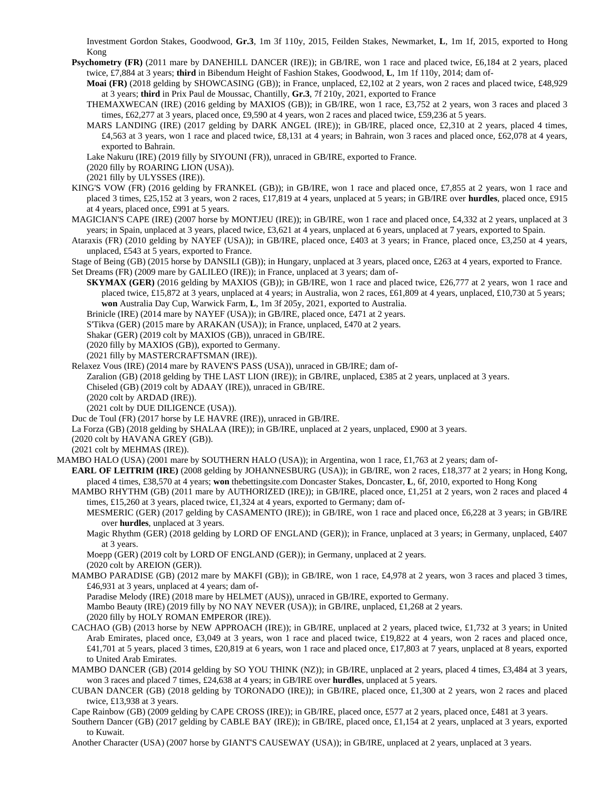Investment Gordon Stakes, Goodwood, **Gr.3**, 1m 3f 110y, 2015, Feilden Stakes, Newmarket, **L**, 1m 1f, 2015, exported to Hong Kong

**Psychometry (FR)** (2011 mare by DANEHILL DANCER (IRE)); in GB/IRE, won 1 race and placed twice, £6,184 at 2 years, placed twice, £7,884 at 3 years; **third** in Bibendum Height of Fashion Stakes, Goodwood, **L**, 1m 1f 110y, 2014; dam of-

**Moai (FR)** (2018 gelding by SHOWCASING (GB)); in France, unplaced, £2,102 at 2 years, won 2 races and placed twice, £48,929 at 3 years; **third** in Prix Paul de Moussac, Chantilly, **Gr.3**, 7f 210y, 2021, exported to France

- THEMAXWECAN (IRE) (2016 gelding by MAXIOS (GB)); in GB/IRE, won 1 race, £3,752 at 2 years, won 3 races and placed 3 times, £62,277 at 3 years, placed once, £9,590 at 4 years, won 2 races and placed twice, £59,236 at 5 years.
- MARS LANDING (IRE) (2017 gelding by DARK ANGEL (IRE)); in GB/IRE, placed once, £2,310 at 2 years, placed 4 times, £4,563 at 3 years, won 1 race and placed twice, £8,131 at 4 years; in Bahrain, won 3 races and placed once, £62,078 at 4 years, exported to Bahrain.
- Lake Nakuru (IRE) (2019 filly by SIYOUNI (FR)), unraced in GB/IRE, exported to France.
- (2020 filly by ROARING LION (USA)).
- (2021 filly by ULYSSES (IRE)).
- KING'S VOW (FR) (2016 gelding by FRANKEL (GB)); in GB/IRE, won 1 race and placed once, £7,855 at 2 years, won 1 race and placed 3 times, £25,152 at 3 years, won 2 races, £17,819 at 4 years, unplaced at 5 years; in GB/IRE over **hurdles**, placed once, £915 at 4 years, placed once, £991 at 5 years.
- MAGICIAN'S CAPE (IRE) (2007 horse by MONTJEU (IRE)); in GB/IRE, won 1 race and placed once, £4,332 at 2 years, unplaced at 3 years; in Spain, unplaced at 3 years, placed twice, £3,621 at 4 years, unplaced at 6 years, unplaced at 7 years, exported to Spain.
- Ataraxis (FR) (2010 gelding by NAYEF (USA)); in GB/IRE, placed once, £403 at 3 years; in France, placed once, £3,250 at 4 years, unplaced, £543 at 5 years, exported to France.
- Stage of Being (GB) (2015 horse by DANSILI (GB)); in Hungary, unplaced at 3 years, placed once, £263 at 4 years, exported to France. Set Dreams (FR) (2009 mare by GALILEO (IRE)); in France, unplaced at 3 years; dam of-
	- **SKYMAX (GER)** (2016 gelding by MAXIOS (GB)); in GB/IRE, won 1 race and placed twice, £26,777 at 2 years, won 1 race and placed twice, £15,872 at 3 years, unplaced at 4 years; in Australia, won 2 races, £61,809 at 4 years, unplaced, £10,730 at 5 years; **won** Australia Day Cup, Warwick Farm, **L**, 1m 3f 205y, 2021, exported to Australia.
	- Brinicle (IRE) (2014 mare by NAYEF (USA)); in GB/IRE, placed once, £471 at 2 years.
	- S'Tikva (GER) (2015 mare by ARAKAN (USA)); in France, unplaced, £470 at 2 years.
	- Shakar (GER) (2019 colt by MAXIOS (GB)), unraced in GB/IRE.
	- (2020 filly by MAXIOS (GB)), exported to Germany.
	- (2021 filly by MASTERCRAFTSMAN (IRE)).
- Relaxez Vous (IRE) (2014 mare by RAVEN'S PASS (USA)), unraced in GB/IRE; dam of-
	- Zaralion (GB) (2018 gelding by THE LAST LION (IRE)); in GB/IRE, unplaced, £385 at 2 years, unplaced at 3 years.
	- Chiseled (GB) (2019 colt by ADAAY (IRE)), unraced in GB/IRE.
	- (2020 colt by ARDAD (IRE)).
	- (2021 colt by DUE DILIGENCE (USA)).
- Duc de Toul (FR) (2017 horse by LE HAVRE (IRE)), unraced in GB/IRE.
- La Forza (GB) (2018 gelding by SHALAA (IRE)); in GB/IRE, unplaced at 2 years, unplaced, £900 at 3 years.
- (2020 colt by HAVANA GREY (GB)).
- (2021 colt by MEHMAS (IRE)).

MAMBO HALO (USA) (2001 mare by SOUTHERN HALO (USA)); in Argentina, won 1 race, £1,763 at 2 years; dam of-

- **EARL OF LEITRIM (IRE)** (2008 gelding by JOHANNESBURG (USA)); in GB/IRE, won 2 races, £18,377 at 2 years; in Hong Kong, placed 4 times, £38,570 at 4 years; **won** thebettingsite.com Doncaster Stakes, Doncaster, **L**, 6f, 2010, exported to Hong Kong
- MAMBO RHYTHM (GB) (2011 mare by AUTHORIZED (IRE)); in GB/IRE, placed once, £1,251 at 2 years, won 2 races and placed 4 times, £15,260 at 3 years, placed twice, £1,324 at 4 years, exported to Germany; dam of-
	- MESMERIC (GER) (2017 gelding by CASAMENTO (IRE)); in GB/IRE, won 1 race and placed once, £6,228 at 3 years; in GB/IRE over **hurdles**, unplaced at 3 years.
	- Magic Rhythm (GER) (2018 gelding by LORD OF ENGLAND (GER)); in France, unplaced at 3 years; in Germany, unplaced, £407 at 3 years.

Moepp (GER) (2019 colt by LORD OF ENGLAND (GER)); in Germany, unplaced at 2 years. (2020 colt by AREION (GER)).

MAMBO PARADISE (GB) (2012 mare by MAKFI (GB)); in GB/IRE, won 1 race, £4,978 at 2 years, won 3 races and placed 3 times, £46,931 at 3 years, unplaced at 4 years; dam of-

Paradise Melody (IRE) (2018 mare by HELMET (AUS)), unraced in GB/IRE, exported to Germany.

- Mambo Beauty (IRE) (2019 filly by NO NAY NEVER (USA)); in GB/IRE, unplaced, £1,268 at 2 years.
- (2020 filly by HOLY ROMAN EMPEROR (IRE)).
- CACHAO (GB) (2013 horse by NEW APPROACH (IRE)); in GB/IRE, unplaced at 2 years, placed twice, £1,732 at 3 years; in United Arab Emirates, placed once, £3,049 at 3 years, won 1 race and placed twice, £19,822 at 4 years, won 2 races and placed once, £41,701 at 5 years, placed 3 times, £20,819 at 6 years, won 1 race and placed once, £17,803 at 7 years, unplaced at 8 years, exported to United Arab Emirates.
- MAMBO DANCER (GB) (2014 gelding by SO YOU THINK (NZ)); in GB/IRE, unplaced at 2 years, placed 4 times, £3,484 at 3 years, won 3 races and placed 7 times, £24,638 at 4 years; in GB/IRE over **hurdles**, unplaced at 5 years.
- CUBAN DANCER (GB) (2018 gelding by TORONADO (IRE)); in GB/IRE, placed once, £1,300 at 2 years, won 2 races and placed twice, £13,938 at 3 years.
- Cape Rainbow (GB) (2009 gelding by CAPE CROSS (IRE)); in GB/IRE, placed once, £577 at 2 years, placed once, £481 at 3 years.
- Southern Dancer (GB) (2017 gelding by CABLE BAY (IRE)); in GB/IRE, placed once, £1,154 at 2 years, unplaced at 3 years, exported to Kuwait.
- Another Character (USA) (2007 horse by GIANT'S CAUSEWAY (USA)); in GB/IRE, unplaced at 2 years, unplaced at 3 years.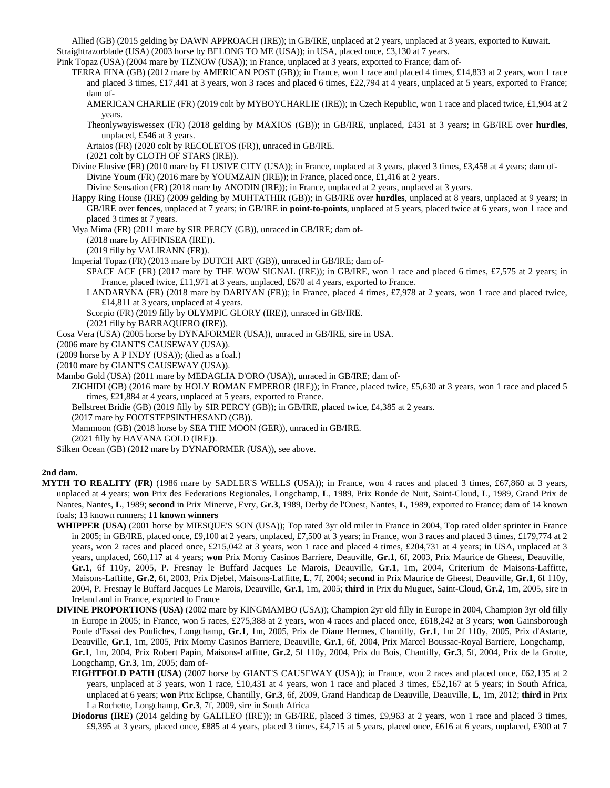Allied (GB) (2015 gelding by DAWN APPROACH (IRE)); in GB/IRE, unplaced at 2 years, unplaced at 3 years, exported to Kuwait. Straightrazorblade (USA) (2003 horse by BELONG TO ME (USA)); in USA, placed once, £3,130 at 7 years.

Pink Topaz (USA) (2004 mare by TIZNOW (USA)); in France, unplaced at 3 years, exported to France; dam of-

- TERRA FINA (GB) (2012 mare by AMERICAN POST (GB)); in France, won 1 race and placed 4 times, £14,833 at 2 years, won 1 race and placed 3 times, £17,441 at 3 years, won 3 races and placed 6 times, £22,794 at 4 years, unplaced at 5 years, exported to France; dam of-
	- AMERICAN CHARLIE (FR) (2019 colt by MYBOYCHARLIE (IRE)); in Czech Republic, won 1 race and placed twice, £1,904 at 2 years.
	- Theonlywayiswessex (FR) (2018 gelding by MAXIOS (GB)); in GB/IRE, unplaced, £431 at 3 years; in GB/IRE over **hurdles**, unplaced, £546 at 3 years.

Artaios (FR) (2020 colt by RECOLETOS (FR)), unraced in GB/IRE.

- (2021 colt by CLOTH OF STARS (IRE)).
- Divine Elusive (FR) (2010 mare by ELUSIVE CITY (USA)); in France, unplaced at 3 years, placed 3 times, £3,458 at 4 years; dam of-Divine Youm (FR) (2016 mare by YOUMZAIN (IRE)); in France, placed once, £1,416 at 2 years.
	- Divine Sensation (FR) (2018 mare by ANODIN (IRE)); in France, unplaced at 2 years, unplaced at 3 years.
- Happy Ring House (IRE) (2009 gelding by MUHTATHIR (GB)); in GB/IRE over **hurdles**, unplaced at 8 years, unplaced at 9 years; in GB/IRE over **fences**, unplaced at 7 years; in GB/IRE in **point-to-points**, unplaced at 5 years, placed twice at 6 years, won 1 race and placed 3 times at 7 years.
- Mya Mima (FR) (2011 mare by SIR PERCY (GB)), unraced in GB/IRE; dam of-
	- (2018 mare by AFFINISEA (IRE)).
	- (2019 filly by VALIRANN (FR)).
- Imperial Topaz (FR) (2013 mare by DUTCH ART (GB)), unraced in GB/IRE; dam of-
	- SPACE ACE (FR) (2017 mare by THE WOW SIGNAL (IRE)); in GB/IRE, won 1 race and placed 6 times, £7,575 at 2 years; in France, placed twice, £11,971 at 3 years, unplaced, £670 at 4 years, exported to France.
	- LANDARYNA (FR) (2018 mare by DARIYAN (FR)); in France, placed 4 times, £7,978 at 2 years, won 1 race and placed twice, £14,811 at 3 years, unplaced at 4 years.
	- Scorpio (FR) (2019 filly by OLYMPIC GLORY (IRE)), unraced in GB/IRE.
	- (2021 filly by BARRAQUERO (IRE)).
- Cosa Vera (USA) (2005 horse by DYNAFORMER (USA)), unraced in GB/IRE, sire in USA.
- (2006 mare by GIANT'S CAUSEWAY (USA)).
- (2009 horse by A P INDY (USA)); (died as a foal.)
- (2010 mare by GIANT'S CAUSEWAY (USA)).
- Mambo Gold (USA) (2011 mare by MEDAGLIA D'ORO (USA)), unraced in GB/IRE; dam of-
	- ZIGHIDI (GB) (2016 mare by HOLY ROMAN EMPEROR (IRE)); in France, placed twice, £5,630 at 3 years, won 1 race and placed 5 times, £21,884 at 4 years, unplaced at 5 years, exported to France.
		- Bellstreet Bridie (GB) (2019 filly by SIR PERCY (GB)); in GB/IRE, placed twice, £4,385 at 2 years.
	- (2017 mare by FOOTSTEPSINTHESAND (GB)).
	- Mammoon (GB) (2018 horse by SEA THE MOON (GER)), unraced in GB/IRE.
	- (2021 filly by HAVANA GOLD (IRE)).
- Silken Ocean (GB) (2012 mare by DYNAFORMER (USA)), see above.

## **2nd dam.**

- **MYTH TO REALITY (FR)** (1986 mare by SADLER'S WELLS (USA)); in France, won 4 races and placed 3 times, £67,860 at 3 years, unplaced at 4 years; **won** Prix des Federations Regionales, Longchamp, **L**, 1989, Prix Ronde de Nuit, Saint-Cloud, **L**, 1989, Grand Prix de Nantes, Nantes, **L**, 1989; **second** in Prix Minerve, Evry, **Gr.3**, 1989, Derby de l'Ouest, Nantes, **L**, 1989, exported to France; dam of 14 known foals; 13 known runners; **11 known winners**
	- **WHIPPER (USA)** (2001 horse by MIESQUE'S SON (USA)); Top rated 3yr old miler in France in 2004, Top rated older sprinter in France in 2005; in GB/IRE, placed once, £9,100 at 2 years, unplaced, £7,500 at 3 years; in France, won 3 races and placed 3 times, £179,774 at 2 years, won 2 races and placed once, £215,042 at 3 years, won 1 race and placed 4 times, £204,731 at 4 years; in USA, unplaced at 3 years, unplaced, £60,117 at 4 years; **won** Prix Morny Casinos Barriere, Deauville, **Gr.1**, 6f, 2003, Prix Maurice de Gheest, Deauville, **Gr.1**, 6f 110y, 2005, P. Fresnay le Buffard Jacques Le Marois, Deauville, **Gr.1**, 1m, 2004, Criterium de Maisons-Laffitte, Maisons-Laffitte, **Gr.2**, 6f, 2003, Prix Djebel, Maisons-Laffitte, **L**, 7f, 2004; **second** in Prix Maurice de Gheest, Deauville, **Gr.1**, 6f 110y, 2004, P. Fresnay le Buffard Jacques Le Marois, Deauville, **Gr.1**, 1m, 2005; **third** in Prix du Muguet, Saint-Cloud, **Gr.2**, 1m, 2005, sire in Ireland and in France, exported to France
	- **DIVINE PROPORTIONS (USA)** (2002 mare by KINGMAMBO (USA)); Champion 2yr old filly in Europe in 2004, Champion 3yr old filly in Europe in 2005; in France, won 5 races, £275,388 at 2 years, won 4 races and placed once, £618,242 at 3 years; **won** Gainsborough Poule d'Essai des Pouliches, Longchamp, **Gr.1**, 1m, 2005, Prix de Diane Hermes, Chantilly, **Gr.1**, 1m 2f 110y, 2005, Prix d'Astarte, Deauville, **Gr.1**, 1m, 2005, Prix Morny Casinos Barriere, Deauville, **Gr.1**, 6f, 2004, Prix Marcel Boussac-Royal Barriere, Longchamp, **Gr.1**, 1m, 2004, Prix Robert Papin, Maisons-Laffitte, **Gr.2**, 5f 110y, 2004, Prix du Bois, Chantilly, **Gr.3**, 5f, 2004, Prix de la Grotte, Longchamp, **Gr.3**, 1m, 2005; dam of-
		- **EIGHTFOLD PATH (USA)** (2007 horse by GIANT'S CAUSEWAY (USA)); in France, won 2 races and placed once, £62,135 at 2 years, unplaced at 3 years, won 1 race, £10,431 at 4 years, won 1 race and placed 3 times, £52,167 at 5 years; in South Africa, unplaced at 6 years; **won** Prix Eclipse, Chantilly, **Gr.3**, 6f, 2009, Grand Handicap de Deauville, Deauville, **L**, 1m, 2012; **third** in Prix La Rochette, Longchamp, **Gr.3**, 7f, 2009, sire in South Africa
		- **Diodorus (IRE)** (2014 gelding by GALILEO (IRE)); in GB/IRE, placed 3 times, £9,963 at 2 years, won 1 race and placed 3 times, £9,395 at 3 years, placed once, £885 at 4 years, placed 3 times, £4,715 at 5 years, placed once, £616 at 6 years, unplaced, £300 at 7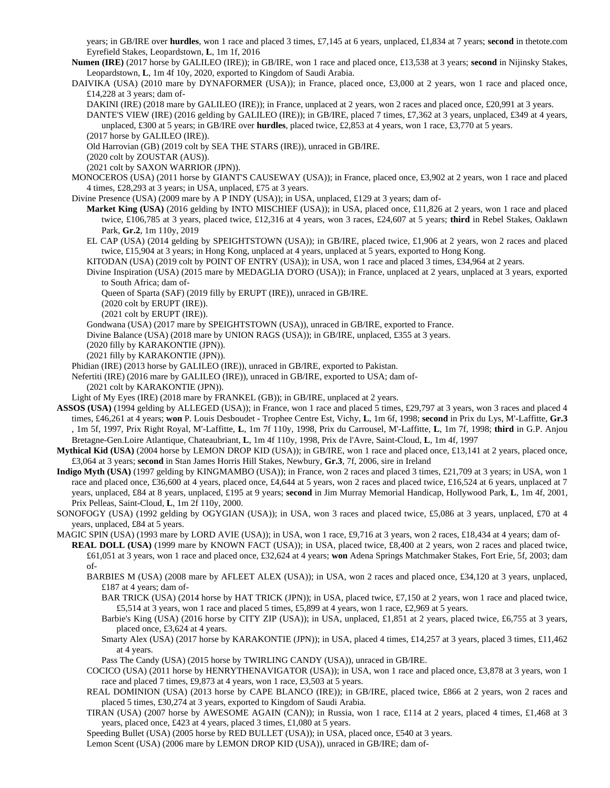years; in GB/IRE over **hurdles**, won 1 race and placed 3 times, £7,145 at 6 years, unplaced, £1,834 at 7 years; **second** in thetote.com Eyrefield Stakes, Leopardstown, **L**, 1m 1f, 2016

**Numen (IRE)** (2017 horse by GALILEO (IRE)); in GB/IRE, won 1 race and placed once, £13,538 at 3 years; **second** in Nijinsky Stakes, Leopardstown, **L**, 1m 4f 10y, 2020, exported to Kingdom of Saudi Arabia.

DAIVIKA (USA) (2010 mare by DYNAFORMER (USA)); in France, placed once, £3,000 at 2 years, won 1 race and placed once, £14,228 at 3 years; dam of-

DAKINI (IRE) (2018 mare by GALILEO (IRE)); in France, unplaced at 2 years, won 2 races and placed once, £20,991 at 3 years.

DANTE'S VIEW (IRE) (2016 gelding by GALILEO (IRE)); in GB/IRE, placed 7 times, £7,362 at 3 years, unplaced, £349 at 4 years, unplaced, £300 at 5 years; in GB/IRE over **hurdles**, placed twice, £2,853 at 4 years, won 1 race, £3,770 at 5 years. (2017 horse by GALILEO (IRE)).

Old Harrovian (GB) (2019 colt by SEA THE STARS (IRE)), unraced in GB/IRE.

(2020 colt by ZOUSTAR (AUS)).

(2021 colt by SAXON WARRIOR (JPN)).

MONOCEROS (USA) (2011 horse by GIANT'S CAUSEWAY (USA)); in France, placed once, £3,902 at 2 years, won 1 race and placed 4 times, £28,293 at 3 years; in USA, unplaced, £75 at 3 years.

Divine Presence (USA) (2009 mare by A P INDY (USA)); in USA, unplaced, £129 at 3 years; dam of-

**Market King (USA)** (2016 gelding by INTO MISCHIEF (USA)); in USA, placed once, £11,826 at 2 years, won 1 race and placed twice, £106,785 at 3 years, placed twice, £12,316 at 4 years, won 3 races, £24,607 at 5 years; **third** in Rebel Stakes, Oaklawn Park, **Gr.2**, 1m 110y, 2019

EL CAP (USA) (2014 gelding by SPEIGHTSTOWN (USA)); in GB/IRE, placed twice, £1,906 at 2 years, won 2 races and placed twice, £15,904 at 3 years; in Hong Kong, unplaced at 4 years, unplaced at 5 years, exported to Hong Kong.

KITODAN (USA) (2019 colt by POINT OF ENTRY (USA)); in USA, won 1 race and placed 3 times, £34,964 at 2 years.

Divine Inspiration (USA) (2015 mare by MEDAGLIA D'ORO (USA)); in France, unplaced at 2 years, unplaced at 3 years, exported to South Africa; dam of-

Queen of Sparta (SAF) (2019 filly by ERUPT (IRE)), unraced in GB/IRE.

(2020 colt by ERUPT (IRE)).

(2021 colt by ERUPT (IRE)).

Gondwana (USA) (2017 mare by SPEIGHTSTOWN (USA)), unraced in GB/IRE, exported to France.

Divine Balance (USA) (2018 mare by UNION RAGS (USA)); in GB/IRE, unplaced, £355 at 3 years.

(2020 filly by KARAKONTIE (JPN)).

(2021 filly by KARAKONTIE (JPN)).

Phidian (IRE) (2013 horse by GALILEO (IRE)), unraced in GB/IRE, exported to Pakistan.

Nefertiti (IRE) (2016 mare by GALILEO (IRE)), unraced in GB/IRE, exported to USA; dam of-

(2021 colt by KARAKONTIE (JPN)).

Light of My Eyes (IRE) (2018 mare by FRANKEL (GB)); in GB/IRE, unplaced at 2 years.

- **ASSOS (USA)** (1994 gelding by ALLEGED (USA)); in France, won 1 race and placed 5 times, £29,797 at 3 years, won 3 races and placed 4 times, £46,261 at 4 years; **won** P. Louis Desboudet - Trophee Centre Est, Vichy, **L**, 1m 6f, 1998; **second** in Prix du Lys, M'-Laffitte, **Gr.3** , 1m 5f, 1997, Prix Right Royal, M'-Laffitte, **L**, 1m 7f 110y, 1998, Prix du Carrousel, M'-Laffitte, **L**, 1m 7f, 1998; **third** in G.P. Anjou Bretagne-Gen.Loire Atlantique, Chateaubriant, **L**, 1m 4f 110y, 1998, Prix de l'Avre, Saint-Cloud, **L**, 1m 4f, 1997
- **Mythical Kid (USA)** (2004 horse by LEMON DROP KID (USA)); in GB/IRE, won 1 race and placed once, £13,141 at 2 years, placed once, £3,064 at 3 years; **second** in Stan James Horris Hill Stakes, Newbury, **Gr.3**, 7f, 2006, sire in Ireland
- **Indigo Myth (USA)** (1997 gelding by KINGMAMBO (USA)); in France, won 2 races and placed 3 times, £21,709 at 3 years; in USA, won 1 race and placed once, £36,600 at 4 years, placed once, £4,644 at 5 years, won 2 races and placed twice, £16,524 at 6 years, unplaced at 7 years, unplaced, £84 at 8 years, unplaced, £195 at 9 years; **second** in Jim Murray Memorial Handicap, Hollywood Park, **L**, 1m 4f, 2001, Prix Pelleas, Saint-Cloud, **L**, 1m 2f 110y, 2000.
- SONOFOGY (USA) (1992 gelding by OGYGIAN (USA)); in USA, won 3 races and placed twice, £5,086 at 3 years, unplaced, £70 at 4 years, unplaced, £84 at 5 years.

MAGIC SPIN (USA) (1993 mare by LORD AVIE (USA)); in USA, won 1 race, £9,716 at 3 years, won 2 races, £18,434 at 4 years; dam of-

**REAL DOLL (USA)** (1999 mare by KNOWN FACT (USA)); in USA, placed twice, £8,400 at 2 years, won 2 races and placed twice, £61,051 at 3 years, won 1 race and placed once, £32,624 at 4 years; **won** Adena Springs Matchmaker Stakes, Fort Erie, 5f, 2003; dam of-

- BARBIES M (USA) (2008 mare by AFLEET ALEX (USA)); in USA, won 2 races and placed once, £34,120 at 3 years, unplaced, £187 at 4 years; dam of-
	- BAR TRICK (USA) (2014 horse by HAT TRICK (JPN)); in USA, placed twice, £7,150 at 2 years, won 1 race and placed twice, £5,514 at 3 years, won 1 race and placed 5 times, £5,899 at 4 years, won 1 race, £2,969 at 5 years.

Barbie's King (USA) (2016 horse by CITY ZIP (USA)); in USA, unplaced, £1,851 at 2 years, placed twice, £6,755 at 3 years, placed once, £3,624 at 4 years.

Smarty Alex (USA) (2017 horse by KARAKONTIE (JPN)); in USA, placed 4 times, £14,257 at 3 years, placed 3 times, £11,462 at 4 years.

Pass The Candy (USA) (2015 horse by TWIRLING CANDY (USA)), unraced in GB/IRE.

- COCICO (USA) (2011 horse by HENRYTHENAVIGATOR (USA)); in USA, won 1 race and placed once, £3,878 at 3 years, won 1 race and placed 7 times, £9,873 at 4 years, won 1 race, £3,503 at 5 years.
- REAL DOMINION (USA) (2013 horse by CAPE BLANCO (IRE)); in GB/IRE, placed twice, £866 at 2 years, won 2 races and placed 5 times, £30,274 at 3 years, exported to Kingdom of Saudi Arabia.
- TIRAN (USA) (2007 horse by AWESOME AGAIN (CAN)); in Russia, won 1 race, £114 at 2 years, placed 4 times, £1,468 at 3 years, placed once, £423 at 4 years, placed 3 times, £1,080 at 5 years.

Speeding Bullet (USA) (2005 horse by RED BULLET (USA)); in USA, placed once, £540 at 3 years.

Lemon Scent (USA) (2006 mare by LEMON DROP KID (USA)), unraced in GB/IRE; dam of-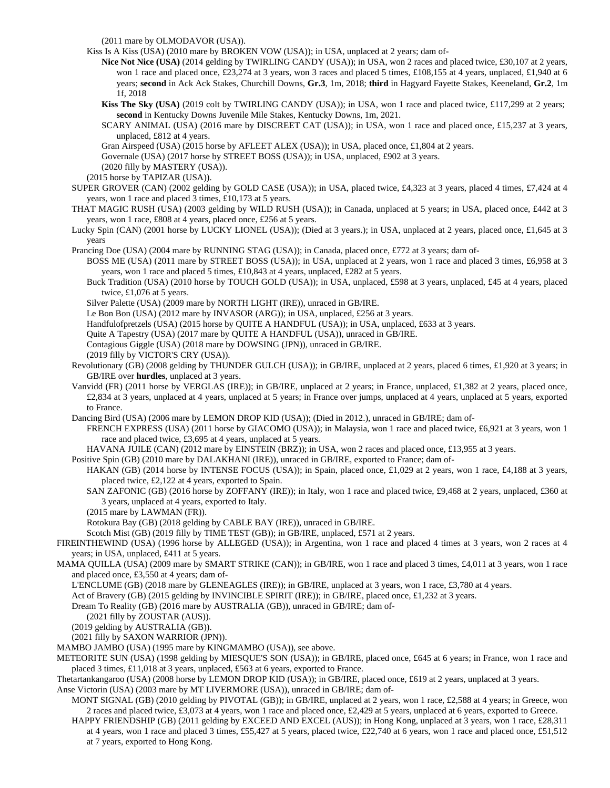(2011 mare by OLMODAVOR (USA)).

Kiss Is A Kiss (USA) (2010 mare by BROKEN VOW (USA)); in USA, unplaced at 2 years; dam of-

**Nice Not Nice (USA)** (2014 gelding by TWIRLING CANDY (USA)); in USA, won 2 races and placed twice, £30,107 at 2 years, won 1 race and placed once, £23,274 at 3 years, won 3 races and placed 5 times, £108,155 at 4 years, unplaced, £1,940 at 6 years; **second** in Ack Ack Stakes, Churchill Downs, **Gr.3**, 1m, 2018; **third** in Hagyard Fayette Stakes, Keeneland, **Gr.2**, 1m 1f, 2018

**Kiss The Sky (USA)** (2019 colt by TWIRLING CANDY (USA)); in USA, won 1 race and placed twice, £117,299 at 2 years; **second** in Kentucky Downs Juvenile Mile Stakes, Kentucky Downs, 1m, 2021.

SCARY ANIMAL (USA) (2016 mare by DISCREET CAT (USA)); in USA, won 1 race and placed once, £15,237 at 3 years, unplaced, £812 at 4 years.

Gran Airspeed (USA) (2015 horse by AFLEET ALEX (USA)); in USA, placed once, £1,804 at 2 years.

Governale (USA) (2017 horse by STREET BOSS (USA)); in USA, unplaced, £902 at 3 years.

(2020 filly by MASTERY (USA)).

(2015 horse by TAPIZAR (USA)).

SUPER GROVER (CAN) (2002 gelding by GOLD CASE (USA)); in USA, placed twice, £4,323 at 3 years, placed 4 times, £7,424 at 4 years, won 1 race and placed 3 times, £10,173 at 5 years.

THAT MAGIC RUSH (USA) (2003 gelding by WILD RUSH (USA)); in Canada, unplaced at 5 years; in USA, placed once, £442 at 3 years, won 1 race, £808 at 4 years, placed once, £256 at 5 years.

Lucky Spin (CAN) (2001 horse by LUCKY LIONEL (USA)); (Died at 3 years.); in USA, unplaced at 2 years, placed once, £1,645 at 3 years

Prancing Doe (USA) (2004 mare by RUNNING STAG (USA)); in Canada, placed once, £772 at 3 years; dam of-

BOSS ME (USA) (2011 mare by STREET BOSS (USA)); in USA, unplaced at 2 years, won 1 race and placed 3 times, £6,958 at 3 years, won 1 race and placed 5 times, £10,843 at 4 years, unplaced, £282 at 5 years.

Buck Tradition (USA) (2010 horse by TOUCH GOLD (USA)); in USA, unplaced, £598 at 3 years, unplaced, £45 at 4 years, placed twice, £1,076 at 5 years.

Silver Palette (USA) (2009 mare by NORTH LIGHT (IRE)), unraced in GB/IRE.

Le Bon Bon (USA) (2012 mare by INVASOR (ARG)); in USA, unplaced, £256 at 3 years.

Handfulofpretzels (USA) (2015 horse by QUITE A HANDFUL (USA)); in USA, unplaced, £633 at 3 years.

Quite A Tapestry (USA) (2017 mare by QUITE A HANDFUL (USA)), unraced in GB/IRE.

Contagious Giggle (USA) (2018 mare by DOWSING (JPN)), unraced in GB/IRE.

(2019 filly by VICTOR'S CRY (USA)).

Revolutionary (GB) (2008 gelding by THUNDER GULCH (USA)); in GB/IRE, unplaced at 2 years, placed 6 times, £1,920 at 3 years; in GB/IRE over **hurdles**, unplaced at 3 years.

Vanvidd (FR) (2011 horse by VERGLAS (IRE)); in GB/IRE, unplaced at 2 years; in France, unplaced, £1,382 at 2 years, placed once, £2,834 at 3 years, unplaced at 4 years, unplaced at 5 years; in France over jumps, unplaced at 4 years, unplaced at 5 years, exported to France.

Dancing Bird (USA) (2006 mare by LEMON DROP KID (USA)); (Died in 2012.), unraced in GB/IRE; dam of-

FRENCH EXPRESS (USA) (2011 horse by GIACOMO (USA)); in Malaysia, won 1 race and placed twice, £6,921 at 3 years, won 1 race and placed twice, £3,695 at 4 years, unplaced at 5 years.

HAVANA JUILE (CAN) (2012 mare by EINSTEIN (BRZ)); in USA, won 2 races and placed once, £13,955 at 3 years.

Positive Spin (GB) (2010 mare by DALAKHANI (IRE)), unraced in GB/IRE, exported to France; dam of-

HAKAN (GB) (2014 horse by INTENSE FOCUS (USA)); in Spain, placed once, £1,029 at 2 years, won 1 race, £4,188 at 3 years, placed twice, £2,122 at 4 years, exported to Spain.

SAN ZAFONIC (GB) (2016 horse by ZOFFANY (IRE)); in Italy, won 1 race and placed twice, £9,468 at 2 years, unplaced, £360 at 3 years, unplaced at 4 years, exported to Italy.

(2015 mare by LAWMAN (FR)).

Rotokura Bay (GB) (2018 gelding by CABLE BAY (IRE)), unraced in GB/IRE.

Scotch Mist (GB) (2019 filly by TIME TEST (GB)); in GB/IRE, unplaced, £571 at 2 years.

FIREINTHEWIND (USA) (1996 horse by ALLEGED (USA)); in Argentina, won 1 race and placed 4 times at 3 years, won 2 races at 4 years; in USA, unplaced, £411 at 5 years.

MAMA QUILLA (USA) (2009 mare by SMART STRIKE (CAN)); in GB/IRE, won 1 race and placed 3 times, £4,011 at 3 years, won 1 race and placed once, £3,550 at 4 years; dam of-

L'ENCLUME (GB) (2018 mare by GLENEAGLES (IRE)); in GB/IRE, unplaced at 3 years, won 1 race, £3,780 at 4 years.

Act of Bravery (GB) (2015 gelding by INVINCIBLE SPIRIT (IRE)); in GB/IRE, placed once, £1,232 at 3 years.

Dream To Reality (GB) (2016 mare by AUSTRALIA (GB)), unraced in GB/IRE; dam of-

(2021 filly by ZOUSTAR (AUS)).

(2019 gelding by AUSTRALIA (GB)).

(2021 filly by SAXON WARRIOR (JPN)).

MAMBO JAMBO (USA) (1995 mare by KINGMAMBO (USA)), see above.

METEORITE SUN (USA) (1998 gelding by MIESQUE'S SON (USA)); in GB/IRE, placed once, £645 at 6 years; in France, won 1 race and placed 3 times, £11,018 at 3 years, unplaced, £563 at 6 years, exported to France.

Thetartankangaroo (USA) (2008 horse by LEMON DROP KID (USA)); in GB/IRE, placed once, £619 at 2 years, unplaced at 3 years.

Anse Victorin (USA) (2003 mare by MT LIVERMORE (USA)), unraced in GB/IRE; dam of-

MONT SIGNAL (GB) (2010 gelding by PIVOTAL (GB)); in GB/IRE, unplaced at 2 years, won 1 race, £2,588 at 4 years; in Greece, won 2 races and placed twice, £3,073 at 4 years, won 1 race and placed once, £2,429 at 5 years, unplaced at 6 years, exported to Greece.

HAPPY FRIENDSHIP (GB) (2011 gelding by EXCEED AND EXCEL (AUS)); in Hong Kong, unplaced at 3 years, won 1 race, £28,311 at 4 years, won 1 race and placed 3 times, £55,427 at 5 years, placed twice, £22,740 at 6 years, won 1 race and placed once, £51,512 at 7 years, exported to Hong Kong.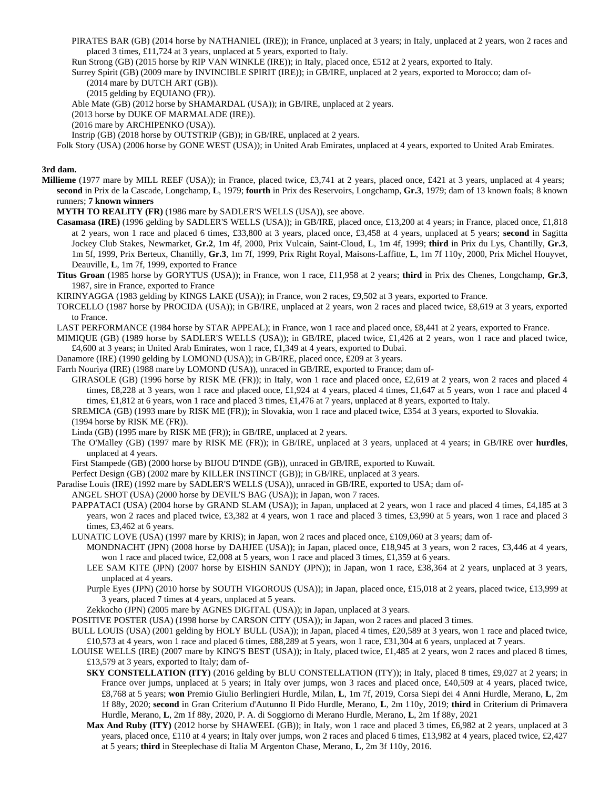- PIRATES BAR (GB) (2014 horse by NATHANIEL (IRE)); in France, unplaced at 3 years; in Italy, unplaced at 2 years, won 2 races and placed 3 times, £11,724 at 3 years, unplaced at 5 years, exported to Italy.
- Run Strong (GB) (2015 horse by RIP VAN WINKLE (IRE)); in Italy, placed once, £512 at 2 years, exported to Italy.
- Surrey Spirit (GB) (2009 mare by INVINCIBLE SPIRIT (IRE)); in GB/IRE, unplaced at 2 years, exported to Morocco; dam of-

(2014 mare by DUTCH ART (GB)).

(2015 gelding by EQUIANO (FR)).

Able Mate (GB) (2012 horse by SHAMARDAL (USA)); in GB/IRE, unplaced at 2 years.

(2013 horse by DUKE OF MARMALADE (IRE)).

(2016 mare by ARCHIPENKO (USA)).

Instrip (GB) (2018 horse by OUTSTRIP (GB)); in GB/IRE, unplaced at 2 years.

Folk Story (USA) (2006 horse by GONE WEST (USA)); in United Arab Emirates, unplaced at 4 years, exported to United Arab Emirates.

## **3rd dam.**

**Millieme** (1977 mare by MILL REEF (USA)); in France, placed twice, £3,741 at 2 years, placed once, £421 at 3 years, unplaced at 4 years; **second** in Prix de la Cascade, Longchamp, **L**, 1979; **fourth** in Prix des Reservoirs, Longchamp, **Gr.3**, 1979; dam of 13 known foals; 8 known runners; **7 known winners**

**MYTH TO REALITY (FR)** (1986 mare by SADLER'S WELLS (USA)), see above.

- **Casamasa (IRE)** (1996 gelding by SADLER'S WELLS (USA)); in GB/IRE, placed once, £13,200 at 4 years; in France, placed once, £1,818 at 2 years, won 1 race and placed 6 times, £33,800 at 3 years, placed once, £3,458 at 4 years, unplaced at 5 years; **second** in Sagitta Jockey Club Stakes, Newmarket, **Gr.2**, 1m 4f, 2000, Prix Vulcain, Saint-Cloud, **L**, 1m 4f, 1999; **third** in Prix du Lys, Chantilly, **Gr.3**, 1m 5f, 1999, Prix Berteux, Chantilly, **Gr.3**, 1m 7f, 1999, Prix Right Royal, Maisons-Laffitte, **L**, 1m 7f 110y, 2000, Prix Michel Houyvet, Deauville, **L**, 1m 7f, 1999, exported to France
- **Titus Groan** (1985 horse by GORYTUS (USA)); in France, won 1 race, £11,958 at 2 years; **third** in Prix des Chenes, Longchamp, **Gr.3**, 1987, sire in France, exported to France

KIRINYAGGA (1983 gelding by KINGS LAKE (USA)); in France, won 2 races, £9,502 at 3 years, exported to France.

- TORCELLO (1987 horse by PROCIDA (USA)); in GB/IRE, unplaced at 2 years, won 2 races and placed twice, £8,619 at 3 years, exported to France.
- LAST PERFORMANCE (1984 horse by STAR APPEAL); in France, won 1 race and placed once, £8,441 at 2 years, exported to France.

MIMIQUE (GB) (1989 horse by SADLER'S WELLS (USA)); in GB/IRE, placed twice, £1,426 at 2 years, won 1 race and placed twice, £4,600 at 3 years; in United Arab Emirates, won 1 race, £1,349 at 4 years, exported to Dubai.

Danamore (IRE) (1990 gelding by LOMOND (USA)); in GB/IRE, placed once, £209 at 3 years.

Farrh Nouriya (IRE) (1988 mare by LOMOND (USA)), unraced in GB/IRE, exported to France; dam of-

GIRASOLE (GB) (1996 horse by RISK ME (FR)); in Italy, won 1 race and placed once, £2,619 at 2 years, won 2 races and placed 4 times, £8,228 at 3 years, won 1 race and placed once, £1,924 at 4 years, placed 4 times, £1,647 at 5 years, won 1 race and placed 4 times, £1,812 at 6 years, won 1 race and placed 3 times, £1,476 at 7 years, unplaced at 8 years, exported to Italy.

SREMICA (GB) (1993 mare by RISK ME (FR)); in Slovakia, won 1 race and placed twice, £354 at 3 years, exported to Slovakia. (1994 horse by RISK ME (FR)).

Linda (GB) (1995 mare by RISK ME (FR)); in GB/IRE, unplaced at 2 years.

The O'Malley (GB) (1997 mare by RISK ME (FR)); in GB/IRE, unplaced at 3 years, unplaced at 4 years; in GB/IRE over **hurdles**, unplaced at 4 years.

First Stampede (GB) (2000 horse by BIJOU D'INDE (GB)), unraced in GB/IRE, exported to Kuwait.

Perfect Design (GB) (2002 mare by KILLER INSTINCT (GB)); in GB/IRE, unplaced at 3 years.

- Paradise Louis (IRE) (1992 mare by SADLER'S WELLS (USA)), unraced in GB/IRE, exported to USA; dam of-
	- ANGEL SHOT (USA) (2000 horse by DEVIL'S BAG (USA)); in Japan, won 7 races.
		- PAPPATACI (USA) (2004 horse by GRAND SLAM (USA)); in Japan, unplaced at 2 years, won 1 race and placed 4 times, £4,185 at 3 years, won 2 races and placed twice, £3,382 at 4 years, won 1 race and placed 3 times, £3,990 at 5 years, won 1 race and placed 3 times, £3,462 at 6 years.
		- LUNATIC LOVE (USA) (1997 mare by KRIS); in Japan, won 2 races and placed once, £109,060 at 3 years; dam of-
			- MONDNACHT (JPN) (2008 horse by DAHJEE (USA)); in Japan, placed once, £18,945 at 3 years, won 2 races, £3,446 at 4 years, won 1 race and placed twice, £2,008 at 5 years, won 1 race and placed 3 times, £1,359 at 6 years.
			- LEE SAM KITE (JPN) (2007 horse by EISHIN SANDY (JPN)); in Japan, won 1 race, £38,364 at 2 years, unplaced at 3 years, unplaced at 4 years.
			- Purple Eyes (JPN) (2010 horse by SOUTH VIGOROUS (USA)); in Japan, placed once, £15,018 at 2 years, placed twice, £13,999 at 3 years, placed 7 times at 4 years, unplaced at 5 years.
			- Zekkocho (JPN) (2005 mare by AGNES DIGITAL (USA)); in Japan, unplaced at 3 years.

POSITIVE POSTER (USA) (1998 horse by CARSON CITY (USA)); in Japan, won 2 races and placed 3 times.

BULL LOUIS (USA) (2001 gelding by HOLY BULL (USA)); in Japan, placed 4 times, £20,589 at 3 years, won 1 race and placed twice, £10,573 at 4 years, won 1 race and placed 6 times, £88,289 at 5 years, won 1 race, £31,304 at 6 years, unplaced at 7 years.

LOUISE WELLS (IRE) (2007 mare by KING'S BEST (USA)); in Italy, placed twice, £1,485 at 2 years, won 2 races and placed 8 times, £13,579 at 3 years, exported to Italy; dam of-

- **SKY CONSTELLATION (ITY)** (2016 gelding by BLU CONSTELLATION (ITY)); in Italy, placed 8 times, £9,027 at 2 years; in France over jumps, unplaced at 5 years; in Italy over jumps, won 3 races and placed once, £40,509 at 4 years, placed twice, £8,768 at 5 years; **won** Premio Giulio Berlingieri Hurdle, Milan, **L**, 1m 7f, 2019, Corsa Siepi dei 4 Anni Hurdle, Merano, **L**, 2m 1f 88y, 2020; **second** in Gran Criterium d'Autunno Il Pido Hurdle, Merano, **L**, 2m 110y, 2019; **third** in Criterium di Primavera Hurdle, Merano, **L**, 2m 1f 88y, 2020, P. A. di Soggiorno di Merano Hurdle, Merano, **L**, 2m 1f 88y, 2021
- **Max And Ruby (ITY)** (2012 horse by SHAWEEL (GB)); in Italy, won 1 race and placed 3 times, £6,982 at 2 years, unplaced at 3 years, placed once, £110 at 4 years; in Italy over jumps, won 2 races and placed 6 times, £13,982 at 4 years, placed twice, £2,427 at 5 years; **third** in Steeplechase di Italia M Argenton Chase, Merano, **L**, 2m 3f 110y, 2016.